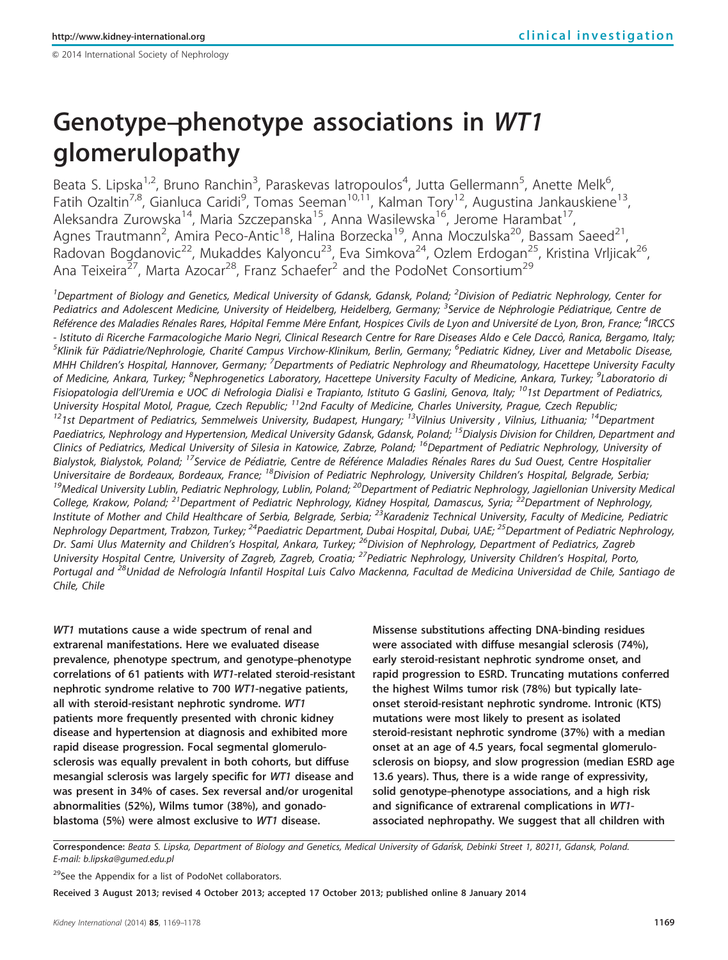# $@$  2014 International Society of Nephrology

# Genotype–phenotype associations in WT1 glomerulopathy

Beata S. Lipska<sup>1,2</sup>, Bruno Ranchin<sup>3</sup>, Paraskevas latropoulos<sup>4</sup>, Jutta Gellermann<sup>5</sup>, Anette Melk<sup>6</sup> , Fatih Ozaltin<sup>7,8</sup>, Gianluca Caridi<sup>9</sup>, Tomas Seeman<sup>10,11</sup>, Kalman Tory<sup>12</sup>, Augustina Jankauskiene<sup>13</sup>, Aleksandra Zurowska<sup>14</sup>, Maria Szczepanska<sup>15</sup>, Anna Wasilewska<sup>16</sup>, Jerome Harambat<sup>17</sup>, Agnes Trautmann<sup>2</sup>, Amira Peco-Antic<sup>18</sup>, Halina Borzecka<sup>19</sup>, Anna Moczulska<sup>20</sup>, Bassam Saeed<sup>21</sup>, Radovan Bogdanovic<sup>22</sup>, Mukaddes Kalyoncu<sup>23</sup>, Eva Simkova<sup>24</sup>, Ozlem Erdogan<sup>25</sup>, Kristina Vrljicak<sup>26</sup>, Ana Teixeira<sup>27</sup>, Marta Azocar<sup>28</sup>, Franz Schaefer<sup>2</sup> and the PodoNet Consortium<sup>29</sup>

<sup>1</sup>Department of Biology and Genetics, Medical University of Gdansk, Gdansk, Poland; <sup>2</sup>Division of Pediatric Nephrology, Center for Pediatrics and Adolescent Medicine, University of Heidelberg, Heidelberg, Germany; <sup>3</sup>Service de Néphrologie Pédiatrique, Centre de Référence des Maladies Rénales Rares, Hôpital Femme Mère Enfant, Hospices Civils de Lyon and Université de Lyon, Bron, France; <sup>4</sup>IRCCS - Istituto di Ricerche Farmacologiche Mario Negri, Clinical Research Centre for Rare Diseases Aldo e Cele Daccò, Ranica, Bergamo, Italy; .<br>Klinik für Pädiatrie/Nephrologie, Charité Campus Virchow-Klinikum, Berlin, Germany; <sup>6</sup>Pediatric Kidney, Liver and Metabolic Disease, MHH Children's Hospital, Hannover, Germany; <sup>7</sup>Departments of Pediatric Nephrology and Rheumatology, Hacettepe University Faculty of Medicine, Ankara, Turkey; <sup>8</sup>Nephrogenetics Laboratory, Hacettepe University Faculty of Medicine, Ankara, Turkey; <sup>9</sup>Laboratorio di Fisiopatologia dell'Uremia e UOC di Nefrologia Dialisi e Trapianto, Istituto G Gaslini, Genova, Italy; <sup>10</sup>1st Department of Pediatrics, University Hospital Motol, Prague, Czech Republic; <sup>11</sup>2nd Faculty of Medicine, Charles University, Prague, Czech Republic;<br><sup>12</sup>1st Department of Pediatrics, Semmelweis University, Budapest, Hungary; <sup>13</sup>Vilnius University Paediatrics, Nephrology and Hypertension, Medical University Gdansk, Gdansk, Poland; <sup>15</sup>Dialysis Division for Children, Department and Clinics of Pediatrics, Medical University of Silesia in Katowice, Zabrze, Poland; <sup>16</sup>Department of Pediatric Nephrology, University of Bialystok, Bialystok, Poland; <sup>17</sup>Service de Pédiatrie, Centre de Référence Maladies Rénales Rares du Sud Ouest, Centre Hospitalier Universitaire de Bordeaux, Bordeaux, France; <sup>18</sup>Division of Pediatric Nephrology, University Children's Hospital, Belgrade, Serbia;<br><sup>19</sup>Medical University Lublin, Pediatric Nephrology, Lublin, Poland; <sup>20</sup>Department of Pe College, Krakow, Poland; <sup>21</sup>Department of Pediatric Nephrology, Kidney Hospital, Damascus, Syria; <sup>22</sup>Department of Nephrology, Institute of Mother and Child Healthcare of Serbia, Belgrade, Serbia; <sup>23</sup>Karadeniz Technical University, Faculty of Medicine, Pediatric Nephrology Department, Trabzon, Turkey; <sup>24</sup>Paediatric Department, Dubai Hospital, Dubai, UAE; <sup>25</sup>Department of Pediatric Nephrology, Dr. Sami Ulus Maternity and Children's Hospital, Ankara, Turkey; <sup>26</sup>Division of Nephrology, Department of Pediatrics, Zagreb University Hospital Centre, University of Zagreb, Zagreb, Croatia; <sup>27</sup>Pediatric Nephrology, University Children's Hospital, Porto, Portugal and <sup>28</sup>Unidad de Nefrología Infantil Hospital Luis Calvo Mackenna, Facultad de Medicina Universidad de Chile, Santiago de Chile, Chile

WT1 mutations cause a wide spectrum of renal and extrarenal manifestations. Here we evaluated disease prevalence, phenotype spectrum, and genotype–phenotype correlations of 61 patients with WT1-related steroid-resistant nephrotic syndrome relative to 700 WT1-negative patients, all with steroid-resistant nephrotic syndrome. WT1 patients more frequently presented with chronic kidney disease and hypertension at diagnosis and exhibited more rapid disease progression. Focal segmental glomerulosclerosis was equally prevalent in both cohorts, but diffuse mesangial sclerosis was largely specific for WT1 disease and was present in 34% of cases. Sex reversal and/or urogenital abnormalities (52%), Wilms tumor (38%), and gonadoblastoma (5%) were almost exclusive to WT1 disease.

Missense substitutions affecting DNA-binding residues were associated with diffuse mesangial sclerosis (74%), early steroid-resistant nephrotic syndrome onset, and rapid progression to ESRD. Truncating mutations conferred the highest Wilms tumor risk (78%) but typically lateonset steroid-resistant nephrotic syndrome. Intronic (KTS) mutations were most likely to present as isolated steroid-resistant nephrotic syndrome (37%) with a median onset at an age of 4.5 years, focal segmental glomerulosclerosis on biopsy, and slow progression (median ESRD age 13.6 years). Thus, there is a wide range of expressivity, solid genotype–phenotype associations, and a high risk and significance of extrarenal complications in WT1 associated nephropathy. We suggest that all children with

Correspondence: Beata S. Lipska, Department of Biology and Genetics, Medical University of Gdan´sk, Debinki Street 1, 80211, Gdansk, Poland. E-mail: [b.lipska@gumed.edu.pl](mailto:b.lipska@gumed.edu.pl)

<sup>29</sup>See the Appendix for a list of PodoNet collaborators.

Received 3 August 2013; revised 4 October 2013; accepted 17 October 2013; published online 8 January 2014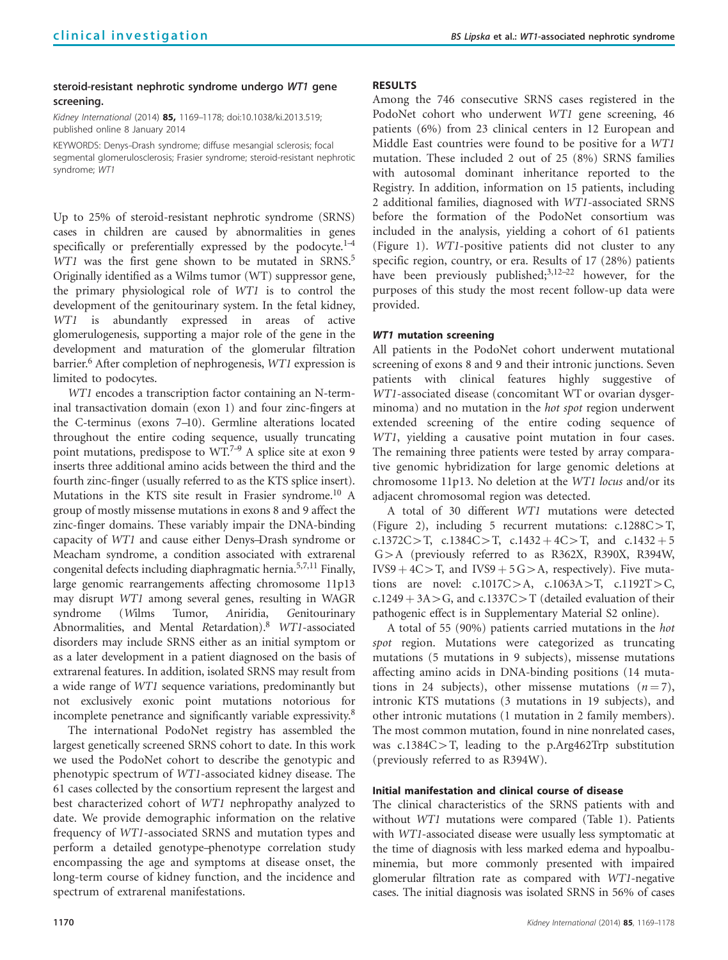# steroid-resistant nephrotic syndrome undergo WT1 gene screening.

Kidney International (2014) 85, 1169-1178; doi[:10.1038/ki.2013.519](http://dx.doi.org/10.1038/ki.2013.519); published online 8 January 2014

KEYWORDS: Denys–Drash syndrome; diffuse mesangial sclerosis; focal segmental glomerulosclerosis; Frasier syndrome; steroid-resistant nephrotic syndrome; WT1

Up to 25% of steroid-resistant nephrotic syndrome (SRNS) cases in children are caused by abnormalities in genes specifically or preferentially expressed by the podocyte. $1-4$ WT1 was the first gene shown to be mutated in SRNS.<sup>5</sup> Originally identified as a Wilms tumor (WT) suppressor gene, the primary physiological role of WT1 is to control the development of the genitourinary system. In the fetal kidney, WT1 is abundantly expressed in areas of active glomerulogenesis, supporting a major role of the gene in the development and maturation of the glomerular filtration barrier.<sup>[6](#page-8-0)</sup> After completion of nephrogenesis, WT1 expression is limited to podocytes.

WT1 encodes a transcription factor containing an N-terminal transactivation domain (exon 1) and four zinc-fingers at the C-terminus (exons 7–10). Germline alterations located throughout the entire coding sequence, usually truncating point mutations, predispose to WT.<sup>7-9</sup> A splice site at exon 9 inserts three additional amino acids between the third and the fourth zinc-finger (usually referred to as the KTS splice insert). Mutations in the KTS site result in Frasier syndrome.<sup>10</sup> A group of mostly missense mutations in exons 8 and 9 affect the zinc-finger domains. These variably impair the DNA-binding capacity of WT1 and cause either Denys–Drash syndrome or Meacham syndrome, a condition associated with extrarenal congenital defects including diaphragmatic hernia.[5,7,11](#page-8-0) Finally, large genomic rearrangements affecting chromosome 11p13 may disrupt WT1 among several genes, resulting in WAGR syndrome (Wilms Tumor, Aniridia, Genitourinary Abnormalities, and Mental Retardation).<sup>[8](#page-8-0)</sup> WT1-associated disorders may include SRNS either as an initial symptom or as a later development in a patient diagnosed on the basis of extrarenal features. In addition, isolated SRNS may result from a wide range of WT1 sequence variations, predominantly but not exclusively exonic point mutations notorious for incomplete penetrance and significantly variable expressivity.<sup>8</sup>

The international PodoNet registry has assembled the largest genetically screened SRNS cohort to date. In this work we used the PodoNet cohort to describe the genotypic and phenotypic spectrum of WT1-associated kidney disease. The 61 cases collected by the consortium represent the largest and best characterized cohort of WT1 nephropathy analyzed to date. We provide demographic information on the relative frequency of WT1-associated SRNS and mutation types and perform a detailed genotype–phenotype correlation study encompassing the age and symptoms at disease onset, the long-term course of kidney function, and the incidence and spectrum of extrarenal manifestations.

# RESULTS

Among the 746 consecutive SRNS cases registered in the PodoNet cohort who underwent WT1 gene screening, 46 patients (6%) from 23 clinical centers in 12 European and Middle East countries were found to be positive for a WT1 mutation. These included 2 out of 25 (8%) SRNS families with autosomal dominant inheritance reported to the Registry. In addition, information on 15 patients, including 2 additional families, diagnosed with WT1-associated SRNS before the formation of the PodoNet consortium was included in the analysis, yielding a cohort of 61 patients ([Figure 1\)](#page-2-0). WT1-positive patients did not cluster to any specific region, country, or era. Results of 17 (28%) patients have been previously published;<sup>3,12–22</sup> however, for the purposes of this study the most recent follow-up data were provided.

# WT1 mutation screening

All patients in the PodoNet cohort underwent mutational screening of exons 8 and 9 and their intronic junctions. Seven patients with clinical features highly suggestive of WT1-associated disease (concomitant WT or ovarian dysgerminoma) and no mutation in the *hot spot* region underwent extended screening of the entire coding sequence of WT1, yielding a causative point mutation in four cases. The remaining three patients were tested by array comparative genomic hybridization for large genomic deletions at chromosome 11p13. No deletion at the WT1 locus and/or its adjacent chromosomal region was detected.

A total of 30 different WT1 mutations were detected ([Figure 2\)](#page-3-0), including 5 recurrent mutations:  $c.1288C > T$ , c.1372C > T, c.1384C > T, c.1432 + 4C > T, and c.1432 + 5  $G>A$  (previously referred to as R362X, R390X, R394W, IVS9 +  $4C>T$ , and IVS9 +  $5 G > A$ , respectively). Five mutations are novel:  $c.1017C > A$ ,  $c.1063A > T$ ,  $c.1192T > C$ ,  $c.1249 + 3A > G$ , and  $c.1337C > T$  (detailed evaluation of their pathogenic effect is in Supplementary Material S2 online).

A total of 55 (90%) patients carried mutations in the hot spot region. Mutations were categorized as truncating mutations (5 mutations in 9 subjects), missense mutations affecting amino acids in DNA-binding positions (14 mutations in 24 subjects), other missense mutations  $(n=7)$ , intronic KTS mutations (3 mutations in 19 subjects), and other intronic mutations (1 mutation in 2 family members). The most common mutation, found in nine nonrelated cases, was  $c.1384C>T$ , leading to the p.Arg462Trp substitution (previously referred to as R394W).

# Initial manifestation and clinical course of disease

The clinical characteristics of the SRNS patients with and without WT1 mutations were compared ([Table 1](#page-4-0)). Patients with WT1-associated disease were usually less symptomatic at the time of diagnosis with less marked edema and hypoalbuminemia, but more commonly presented with impaired glomerular filtration rate as compared with WT1-negative cases. The initial diagnosis was isolated SRNS in 56% of cases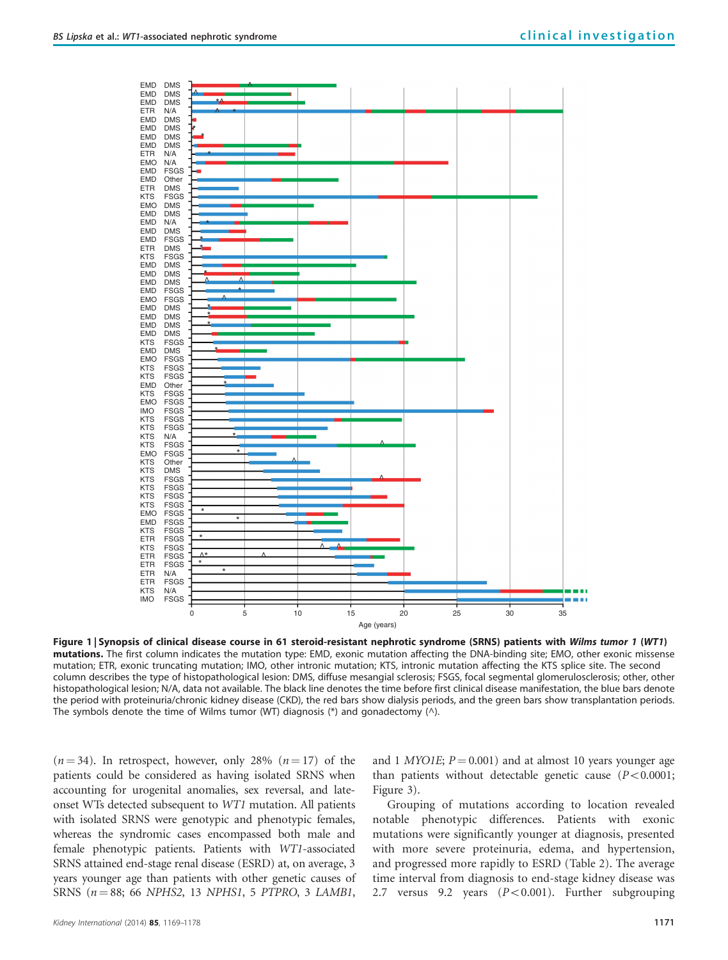<span id="page-2-0"></span>

Figure 1 | Synopsis of clinical disease course in 61 steroid-resistant nephrotic syndrome (SRNS) patients with Wilms tumor 1 (WT1) mutations. The first column indicates the mutation type: EMD, exonic mutation affecting the DNA-binding site; EMO, other exonic missense mutation; ETR, exonic truncating mutation; IMO, other intronic mutation; KTS, intronic mutation affecting the KTS splice site. The second column describes the type of histopathological lesion: DMS, diffuse mesangial sclerosis; FSGS, focal segmental glomerulosclerosis; other, other histopathological lesion; N/A, data not available. The black line denotes the time before first clinical disease manifestation, the blue bars denote the period with proteinuria/chronic kidney disease (CKD), the red bars show dialysis periods, and the green bars show transplantation periods. The symbols denote the time of Wilms tumor (WT) diagnosis  $(*)$  and gonadectomy  $(\wedge)$ .

 $(n = 34)$ . In retrospect, however, only 28%  $(n = 17)$  of the patients could be considered as having isolated SRNS when accounting for urogenital anomalies, sex reversal, and lateonset WTs detected subsequent to WT1 mutation. All patients with isolated SRNS were genotypic and phenotypic females, whereas the syndromic cases encompassed both male and female phenotypic patients. Patients with WT1-associated SRNS attained end-stage renal disease (ESRD) at, on average, 3 years younger age than patients with other genetic causes of SRNS ( $n = 88$ ; 66 NPHS2, 13 NPHS1, 5 PTPRO, 3 LAMB1, and 1 *MYO1E*;  $P = 0.001$ ) and at almost 10 years younger age than patients without detectable genetic cause  $(P<0.0001)$ ; [Figure 3\)](#page-4-0).

Grouping of mutations according to location revealed notable phenotypic differences. Patients with exonic mutations were significantly younger at diagnosis, presented with more severe proteinuria, edema, and hypertension, and progressed more rapidly to ESRD [\(Table 2\)](#page-5-0). The average time interval from diagnosis to end-stage kidney disease was 2.7 versus 9.2 years  $(P<0.001)$ . Further subgrouping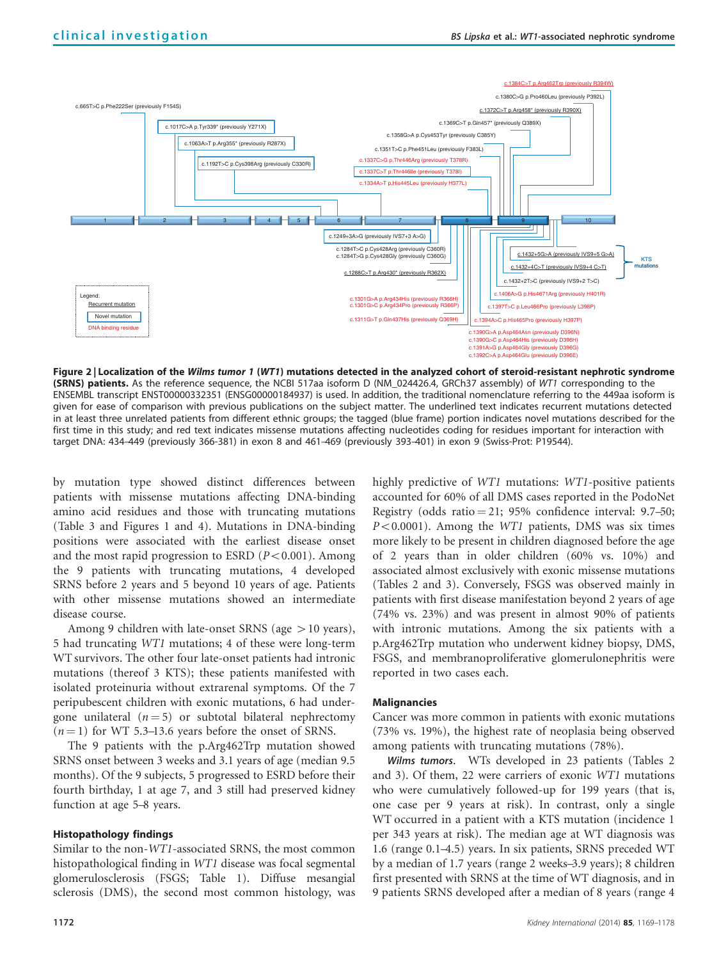<span id="page-3-0"></span>

Figure 2 | Localization of the Wilms tumor 1 (WT1) mutations detected in the analyzed cohort of steroid-resistant nephrotic syndrome (SRNS) patients. As the reference sequence, the NCBI 517aa isoform D (NM\_024426.4, GRCh37 assembly) of WT1 corresponding to the ENSEMBL transcript ENST00000332351 (ENSG00000184937) is used. In addition, the traditional nomenclature referring to the 449aa isoform is given for ease of comparison with previous publications on the subject matter. The underlined text indicates recurrent mutations detected in at least three unrelated patients from different ethnic groups; the tagged (blue frame) portion indicates novel mutations described for the first time in this study; and red text indicates missense mutations affecting nucleotides coding for residues important for interaction with target DNA: 434–449 (previously 366-381) in exon 8 and 461–469 (previously 393–401) in exon 9 (Swiss-Prot: P19544).

by mutation type showed distinct differences between patients with missense mutations affecting DNA-binding amino acid residues and those with truncating mutations [\(Table 3](#page-5-0) and [Figures 1 and 4](#page-2-0)). Mutations in DNA-binding positions were associated with the earliest disease onset and the most rapid progression to ESRD  $(P<0.001)$ . Among the 9 patients with truncating mutations, 4 developed SRNS before 2 years and 5 beyond 10 years of age. Patients with other missense mutations showed an intermediate disease course.

Among 9 children with late-onset SRNS (age  $>10$  years), 5 had truncating WT1 mutations; 4 of these were long-term WT survivors. The other four late-onset patients had intronic mutations (thereof 3 KTS); these patients manifested with isolated proteinuria without extrarenal symptoms. Of the 7 peripubescent children with exonic mutations, 6 had undergone unilateral ( $n = 5$ ) or subtotal bilateral nephrectomy  $(n = 1)$  for WT 5.3–13.6 years before the onset of SRNS.

The 9 patients with the p.Arg462Trp mutation showed SRNS onset between 3 weeks and 3.1 years of age (median 9.5 months). Of the 9 subjects, 5 progressed to ESRD before their fourth birthday, 1 at age 7, and 3 still had preserved kidney function at age 5–8 years.

#### Histopathology findings

Similar to the non-WT1-associated SRNS, the most common histopathological finding in WT1 disease was focal segmental glomerulosclerosis (FSGS; [Table 1\)](#page-4-0). Diffuse mesangial sclerosis (DMS), the second most common histology, was

highly predictive of *WT1* mutations: *WT1*-positive patients accounted for 60% of all DMS cases reported in the PodoNet Registry (odds ratio  $= 21$ ; 95% confidence interval: 9.7–50;  $P<0.0001$ ). Among the WT1 patients, DMS was six times more likely to be present in children diagnosed before the age of 2 years than in older children (60% vs. 10%) and associated almost exclusively with exonic missense mutations ([Tables 2 and 3\)](#page-5-0). Conversely, FSGS was observed mainly in patients with first disease manifestation beyond 2 years of age (74% vs. 23%) and was present in almost 90% of patients with intronic mutations. Among the six patients with a p.Arg462Trp mutation who underwent kidney biopsy, DMS, FSGS, and membranoproliferative glomerulonephritis were reported in two cases each.

# **Malignancies**

Cancer was more common in patients with exonic mutations (73% vs. 19%), the highest rate of neoplasia being observed among patients with truncating mutations (78%).

Wilms tumors. WTs developed in 23 patients [\(Tables 2](#page-5-0)) [and 3](#page-5-0)). Of them, 22 were carriers of exonic WT1 mutations who were cumulatively followed-up for 199 years (that is, one case per 9 years at risk). In contrast, only a single WT occurred in a patient with a KTS mutation (incidence 1 per 343 years at risk). The median age at WT diagnosis was 1.6 (range 0.1–4.5) years. In six patients, SRNS preceded WT by a median of 1.7 years (range 2 weeks–3.9 years); 8 children first presented with SRNS at the time of WT diagnosis, and in 9 patients SRNS developed after a median of 8 years (range 4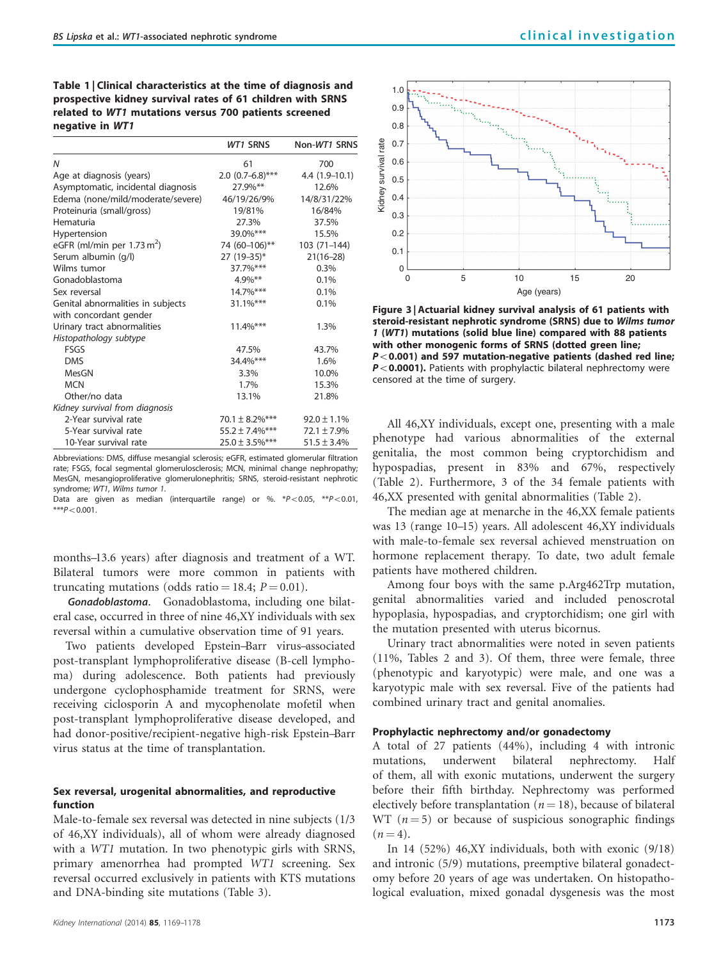<span id="page-4-0"></span>Table 1 | Clinical characteristics at the time of diagnosis and prospective kidney survival rates of 61 children with SRNS related to WT1 mutations versus 700 patients screened negative in WT1

|                                       | <b>WT1 SRNS</b>      | Non-WT1 SRNS     |
|---------------------------------------|----------------------|------------------|
| N                                     | 61                   | 700              |
| Age at diagnosis (years)              | $2.0$ (0.7-6.8)***   | $4.4(1.9-10.1)$  |
| Asymptomatic, incidental diagnosis    | 27.9%**              | 12.6%            |
| Edema (none/mild/moderate/severe)     | 46/19/26/9%          | 14/8/31/22%      |
| Proteinuria (small/gross)             | 19/81%               | 16/84%           |
| Hematuria                             | 27.3%                | 37.5%            |
| Hypertension                          | 39.0%***             | 15.5%            |
| eGFR (ml/min per $1.73 \text{ m}^2$ ) | 74 (60-106)**        | 103 (71-144)     |
| Serum albumin (g/l)                   | 27 (19-35)*          | $21(16-28)$      |
| Wilms tumor                           | 37.7%***             | 0.3%             |
| Gonadoblastoma                        | $4.9\%$ **           | 0.1%             |
| Sex reversal                          | 14.7%***             | 0.1%             |
| Genital abnormalities in subjects     | $31.1\%***$          | 0.1%             |
| with concordant gender                |                      |                  |
| Urinary tract abnormalities           | $11.4\%***$          | 1.3%             |
| Histopathology subtype                |                      |                  |
| <b>FSGS</b>                           | 47.5%                | 43.7%            |
| <b>DMS</b>                            | 34.4%***             | 1.6%             |
| MesGN                                 | 3.3%                 | 10.0%            |
| <b>MCN</b>                            | 1.7%                 | 15.3%            |
| Other/no data                         | 13.1%                | 21.8%            |
| Kidney survival from diagnosis        |                      |                  |
| 2-Year survival rate                  | 70.1 $\pm$ 8.2%***   | $92.0 \pm 1.1\%$ |
| 5-Year survival rate                  | $55.2 \pm 7.4\%$ *** | $72.1 \pm 7.9\%$ |
| 10-Year survival rate                 | $25.0 \pm 3.5\%$ *** | $51.5 \pm 3.4\%$ |

Abbreviations: DMS, diffuse mesangial sclerosis; eGFR, estimated glomerular filtration rate; FSGS, focal segmental glomerulosclerosis; MCN, minimal change nephropathy; MesGN, mesangioproliferative glomerulonephritis; SRNS, steroid-resistant nephrotic syndrome; WT1, Wilms tumor 1.

Data are given as median (interquartile range) or %.  $*P<0.05$ ,  $*P<0.01$ ,  $***P<0.001$ .

months–13.6 years) after diagnosis and treatment of a WT. Bilateral tumors were more common in patients with truncating mutations (odds ratio = 18.4;  $P = 0.01$ ).

Gonadoblastoma. Gonadoblastoma, including one bilateral case, occurred in three of nine 46,XY individuals with sex reversal within a cumulative observation time of 91 years.

Two patients developed Epstein–Barr virus–associated post-transplant lymphoproliferative disease (B-cell lymphoma) during adolescence. Both patients had previously undergone cyclophosphamide treatment for SRNS, were receiving ciclosporin A and mycophenolate mofetil when post-transplant lymphoproliferative disease developed, and had donor-positive/recipient-negative high-risk Epstein–Barr virus status at the time of transplantation.

## Sex reversal, urogenital abnormalities, and reproductive function

Male-to-female sex reversal was detected in nine subjects (1/3 of 46,XY individuals), all of whom were already diagnosed with a WT1 mutation. In two phenotypic girls with SRNS, primary amenorrhea had prompted WT1 screening. Sex reversal occurred exclusively in patients with KTS mutations and DNA-binding site mutations ([Table 3](#page-5-0)).



Figure 3 | Actuarial kidney survival analysis of 61 patients with steroid-resistant nephrotic syndrome (SRNS) due to Wilms tumor 1 (WT1) mutations (solid blue line) compared with 88 patients with other monogenic forms of SRNS (dotted green line;  $P$ <0.001) and 597 mutation-negative patients (dashed red line;  $P < 0.0001$ ). Patients with prophylactic bilateral nephrectomy were censored at the time of surgery.

All 46,XY individuals, except one, presenting with a male phenotype had various abnormalities of the external genitalia, the most common being cryptorchidism and hypospadias, present in 83% and 67%, respectively ([Table 2](#page-5-0)). Furthermore, 3 of the 34 female patients with 46,XX presented with genital abnormalities ([Table 2](#page-5-0)).

The median age at menarche in the 46,XX female patients was 13 (range 10–15) years. All adolescent 46,XY individuals with male-to-female sex reversal achieved menstruation on hormone replacement therapy. To date, two adult female patients have mothered children.

Among four boys with the same p.Arg462Trp mutation, genital abnormalities varied and included penoscrotal hypoplasia, hypospadias, and cryptorchidism; one girl with the mutation presented with uterus bicornus.

Urinary tract abnormalities were noted in seven patients (11%, [Tables 2 and 3\)](#page-5-0). Of them, three were female, three (phenotypic and karyotypic) were male, and one was a karyotypic male with sex reversal. Five of the patients had combined urinary tract and genital anomalies.

# Prophylactic nephrectomy and/or gonadectomy

A total of 27 patients (44%), including 4 with intronic mutations, underwent bilateral nephrectomy. Half of them, all with exonic mutations, underwent the surgery before their fifth birthday. Nephrectomy was performed electively before transplantation ( $n = 18$ ), because of bilateral WT  $(n = 5)$  or because of suspicious sonographic findings  $(n = 4)$ .

In 14 (52%) 46,XY individuals, both with exonic (9/18) and intronic (5/9) mutations, preemptive bilateral gonadectomy before 20 years of age was undertaken. On histopathological evaluation, mixed gonadal dysgenesis was the most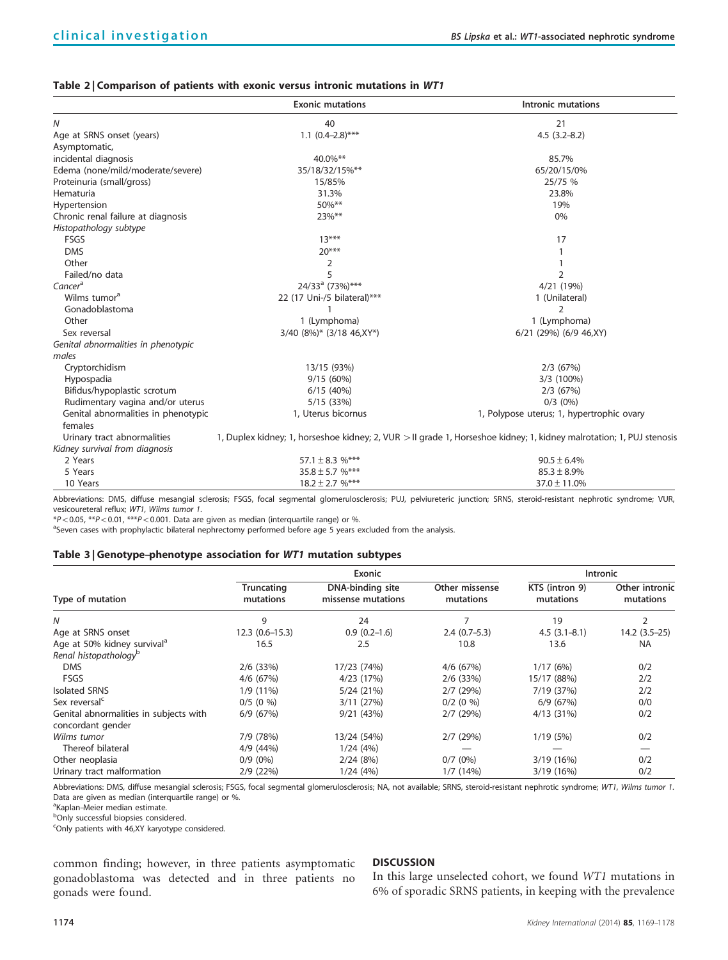## <span id="page-5-0"></span>Table 2 | Comparison of patients with exonic versus intronic mutations in WT1

|                                     | <b>Exonic mutations</b>     | Intronic mutations                                                                                                   |  |  |
|-------------------------------------|-----------------------------|----------------------------------------------------------------------------------------------------------------------|--|--|
| N                                   | 40                          | 21                                                                                                                   |  |  |
| Age at SRNS onset (years)           | $1.1 (0.4 - 2.8)$ ***       | $4.5(3.2 - 8.2)$                                                                                                     |  |  |
| Asymptomatic,                       |                             |                                                                                                                      |  |  |
| incidental diagnosis                | 40.0%**                     | 85.7%                                                                                                                |  |  |
| Edema (none/mild/moderate/severe)   | 35/18/32/15%**              | 65/20/15/0%                                                                                                          |  |  |
| Proteinuria (small/gross)           | 15/85%                      | 25/75 %                                                                                                              |  |  |
| Hematuria                           | 31.3%                       | 23.8%                                                                                                                |  |  |
| Hypertension                        | 50%**                       | 19%                                                                                                                  |  |  |
| Chronic renal failure at diagnosis  | 23%**                       | 0%                                                                                                                   |  |  |
| Histopathology subtype              |                             |                                                                                                                      |  |  |
| FSGS                                | $13***$                     | 17                                                                                                                   |  |  |
| <b>DMS</b>                          | $20***$                     |                                                                                                                      |  |  |
| Other                               | 2                           |                                                                                                                      |  |  |
| Failed/no data                      | 5                           | $\overline{2}$                                                                                                       |  |  |
| Cancer <sup>a</sup>                 | 24/33 <sup>ª</sup> (73%)*** | 4/21 (19%)                                                                                                           |  |  |
| Wilms tumor <sup>a</sup>            | 22 (17 Uni-/5 bilateral)*** | 1 (Unilateral)                                                                                                       |  |  |
| Gonadoblastoma                      |                             | 2                                                                                                                    |  |  |
| Other                               | 1 (Lymphoma)                | 1 (Lymphoma)                                                                                                         |  |  |
| Sex reversal                        | 3/40 (8%)* (3/18 46, XY*)   | 6/21 (29%) (6/9 46, XY)                                                                                              |  |  |
| Genital abnormalities in phenotypic |                             |                                                                                                                      |  |  |
| males                               |                             |                                                                                                                      |  |  |
| Cryptorchidism                      | 13/15 (93%)                 | $2/3$ (67%)                                                                                                          |  |  |
| Hypospadia                          | 9/15(60%)                   | 3/3 (100%)                                                                                                           |  |  |
| Bifidus/hypoplastic scrotum         | 6/15(40%)                   | $2/3$ (67%)                                                                                                          |  |  |
| Rudimentary vagina and/or uterus    | 5/15 (33%)                  | $0/3$ (0%)                                                                                                           |  |  |
| Genital abnormalities in phenotypic | 1, Uterus bicornus          | 1, Polypose uterus; 1, hypertrophic ovary                                                                            |  |  |
| females                             |                             |                                                                                                                      |  |  |
| Urinary tract abnormalities         |                             | 1, Duplex kidney; 1, horseshoe kidney; 2, VUR > II grade 1, Horseshoe kidney; 1, kidney malrotation; 1, PUJ stenosis |  |  |
| Kidney survival from diagnosis      |                             |                                                                                                                      |  |  |
| 2 Years                             | 57.1 $\pm$ 8.3 %***         | $90.5 \pm 6.4\%$                                                                                                     |  |  |
| 5 Years                             | $35.8 \pm 5.7$ %***         | $85.3 \pm 8.9\%$                                                                                                     |  |  |
| 10 Years                            | $18.2 \pm 2.7$ %***         | $37.0 \pm 11.0\%$                                                                                                    |  |  |

Abbreviations: DMS, diffuse mesangial sclerosis; FSGS, focal segmental glomerulosclerosis; PUJ, pelviureteric junction; SRNS, steroid-resistant nephrotic syndrome; VUR, vesicoureteral reflux; WT1, Wilms tumor 1.

 $*P<0.05$ ,  $**P<0.01$ ,  $***P<0.001$ . Data are given as median (interquartile range) or %.

<sup>a</sup>Seven cases with prophylactic bilateral nephrectomy performed before age 5 years excluded from the analysis.

#### Table 3 | Genotype–phenotype association for WT1 mutation subtypes

| Type of mutation                                            | Exonic                  |                                        |                             | <b>Intronic</b>             |                             |
|-------------------------------------------------------------|-------------------------|----------------------------------------|-----------------------------|-----------------------------|-----------------------------|
|                                                             | Truncating<br>mutations | DNA-binding site<br>missense mutations | Other missense<br>mutations | KTS (intron 9)<br>mutations | Other intronic<br>mutations |
| N                                                           | 9                       | 24                                     |                             | 19                          |                             |
| Age at SRNS onset                                           | $12.3(0.6 - 15.3)$      | $0.9(0.2-1.6)$                         | $2.4(0.7-5.3)$              | $4.5(3.1 - 8.1)$            | 14.2 (3.5–25)               |
| Age at 50% kidney survival <sup>a</sup>                     | 16.5                    | 2.5                                    | 10.8                        | 13.6                        | NA                          |
| Renal histopathology <sup>b</sup>                           |                         |                                        |                             |                             |                             |
| <b>DMS</b>                                                  | $2/6$ (33%)             | 17/23 (74%)                            | $4/6$ (67%)                 | 1/17(6%)                    | 0/2                         |
| FSGS                                                        | 4/6 (67%)               | 4/23 (17%)                             | $2/6$ (33%)                 | 15/17 (88%)                 | 2/2                         |
| <b>Isolated SRNS</b>                                        | 1/9 (11%)               | 5/24 (21%)                             | $2/7$ (29%)                 | 7/19 (37%)                  | 2/2                         |
| Sex reversal <sup>c</sup>                                   | $0/5$ (0 %)             | 3/11(27%)                              | $0/2$ (0 %)                 | 6/9(67%)                    | 0/0                         |
| Genital abnormalities in subjects with<br>concordant gender | 6/9(67%)                | 9/21(43%)                              | $2/7$ (29%)                 | 4/13(31%)                   | 0/2                         |
| Wilms tumor                                                 | 7/9 (78%)               | 13/24 (54%)                            | 2/7(29%)                    | 1/19(5%)                    | 0/2                         |
| Thereof bilateral                                           | 4/9 (44%)               | 1/24(4%)                               |                             |                             |                             |
| Other neoplasia                                             | $0/9(0\%)$              | 2/24(8%)                               | $0/7$ (0%)                  | 3/19 (16%)                  | 0/2                         |
| Urinary tract malformation                                  | 2/9 (22%)               | 1/24(4%)                               | 1/7(14%)                    | 3/19 (16%)                  | 0/2                         |

Abbreviations: DMS, diffuse mesangial sclerosis; FSGS, focal segmental glomerulosclerosis; NA, not available; SRNS, steroid-resistant nephrotic syndrome; WT1, Wilms tumor 1. Data are given as median (interquartile range) or %.

<sup>a</sup>Kaplan-Meier median estimate.

bOnly successful biopsies considered.

<sup>c</sup>Only patients with 46,XY karyotype considered.

common finding; however, in three patients asymptomatic gonadoblastoma was detected and in three patients no gonads were found.

## DISCUSSION

In this large unselected cohort, we found WT1 mutations in 6% of sporadic SRNS patients, in keeping with the prevalence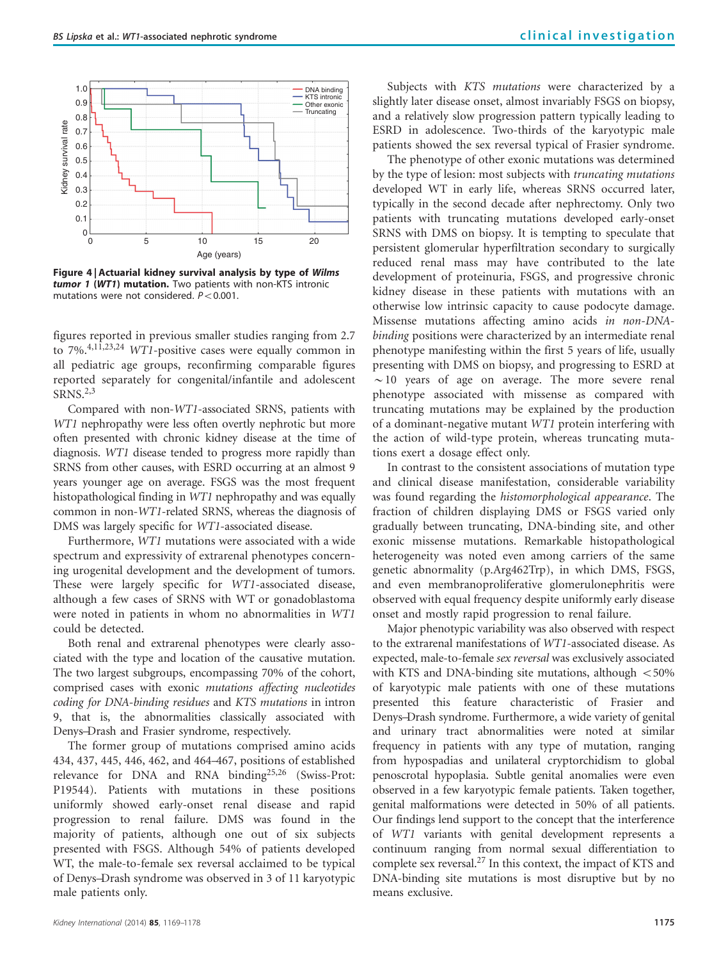

Figure 4 | Actuarial kidney survival analysis by type of Wilms tumor 1 (WT1) mutation. Two patients with non-KTS intronic mutations were not considered.  $P < 0.001$ .

figures reported in previous smaller studies ranging from 2.7 to 7%.[4,11,23,24](#page-8-0) WT1-positive cases were equally common in all pediatric age groups, reconfirming comparable figures reported separately for congenital/infantile and adolescent SRNS.[2,3](#page-8-0)

Compared with non-WT1-associated SRNS, patients with WT1 nephropathy were less often overtly nephrotic but more often presented with chronic kidney disease at the time of diagnosis. WT1 disease tended to progress more rapidly than SRNS from other causes, with ESRD occurring at an almost 9 years younger age on average. FSGS was the most frequent histopathological finding in WT1 nephropathy and was equally common in non-WT1-related SRNS, whereas the diagnosis of DMS was largely specific for WT1-associated disease.

Furthermore, WT1 mutations were associated with a wide spectrum and expressivity of extrarenal phenotypes concerning urogenital development and the development of tumors. These were largely specific for WT1-associated disease, although a few cases of SRNS with WT or gonadoblastoma were noted in patients in whom no abnormalities in WT1 could be detected.

Both renal and extrarenal phenotypes were clearly associated with the type and location of the causative mutation. The two largest subgroups, encompassing 70% of the cohort, comprised cases with exonic mutations affecting nucleotides coding for DNA-binding residues and KTS mutations in intron 9, that is, the abnormalities classically associated with Denys–Drash and Frasier syndrome, respectively.

The former group of mutations comprised amino acids 434, 437, 445, 446, 462, and 464–467, positions of established relevance for DNA and RNA binding<sup>[25,26](#page-8-0)</sup> (Swiss-Prot: P19544). Patients with mutations in these positions uniformly showed early-onset renal disease and rapid progression to renal failure. DMS was found in the majority of patients, although one out of six subjects presented with FSGS. Although 54% of patients developed WT, the male-to-female sex reversal acclaimed to be typical of Denys–Drash syndrome was observed in 3 of 11 karyotypic male patients only.

Subjects with KTS mutations were characterized by a slightly later disease onset, almost invariably FSGS on biopsy, and a relatively slow progression pattern typically leading to ESRD in adolescence. Two-thirds of the karyotypic male patients showed the sex reversal typical of Frasier syndrome.

The phenotype of other exonic mutations was determined by the type of lesion: most subjects with truncating mutations developed WT in early life, whereas SRNS occurred later, typically in the second decade after nephrectomy. Only two patients with truncating mutations developed early-onset SRNS with DMS on biopsy. It is tempting to speculate that persistent glomerular hyperfiltration secondary to surgically reduced renal mass may have contributed to the late development of proteinuria, FSGS, and progressive chronic kidney disease in these patients with mutations with an otherwise low intrinsic capacity to cause podocyte damage. Missense mutations affecting amino acids in non-DNAbinding positions were characterized by an intermediate renal phenotype manifesting within the first 5 years of life, usually presenting with DMS on biopsy, and progressing to ESRD at  $\sim$ 10 years of age on average. The more severe renal phenotype associated with missense as compared with truncating mutations may be explained by the production of a dominant-negative mutant WT1 protein interfering with the action of wild-type protein, whereas truncating mutations exert a dosage effect only.

In contrast to the consistent associations of mutation type and clinical disease manifestation, considerable variability was found regarding the histomorphological appearance. The fraction of children displaying DMS or FSGS varied only gradually between truncating, DNA-binding site, and other exonic missense mutations. Remarkable histopathological heterogeneity was noted even among carriers of the same genetic abnormality (p.Arg462Trp), in which DMS, FSGS, and even membranoproliferative glomerulonephritis were observed with equal frequency despite uniformly early disease onset and mostly rapid progression to renal failure.

Major phenotypic variability was also observed with respect to the extrarenal manifestations of WT1-associated disease. As expected, male-to-female sex reversal was exclusively associated with KTS and DNA-binding site mutations, although  $<$  50% of karyotypic male patients with one of these mutations presented this feature characteristic of Frasier and Denys–Drash syndrome. Furthermore, a wide variety of genital and urinary tract abnormalities were noted at similar frequency in patients with any type of mutation, ranging from hypospadias and unilateral cryptorchidism to global penoscrotal hypoplasia. Subtle genital anomalies were even observed in a few karyotypic female patients. Taken together, genital malformations were detected in 50% of all patients. Our findings lend support to the concept that the interference of WT1 variants with genital development represents a continuum ranging from normal sexual differentiation to complete sex reversal.<sup>27</sup> In this context, the impact of KTS and DNA-binding site mutations is most disruptive but by no means exclusive.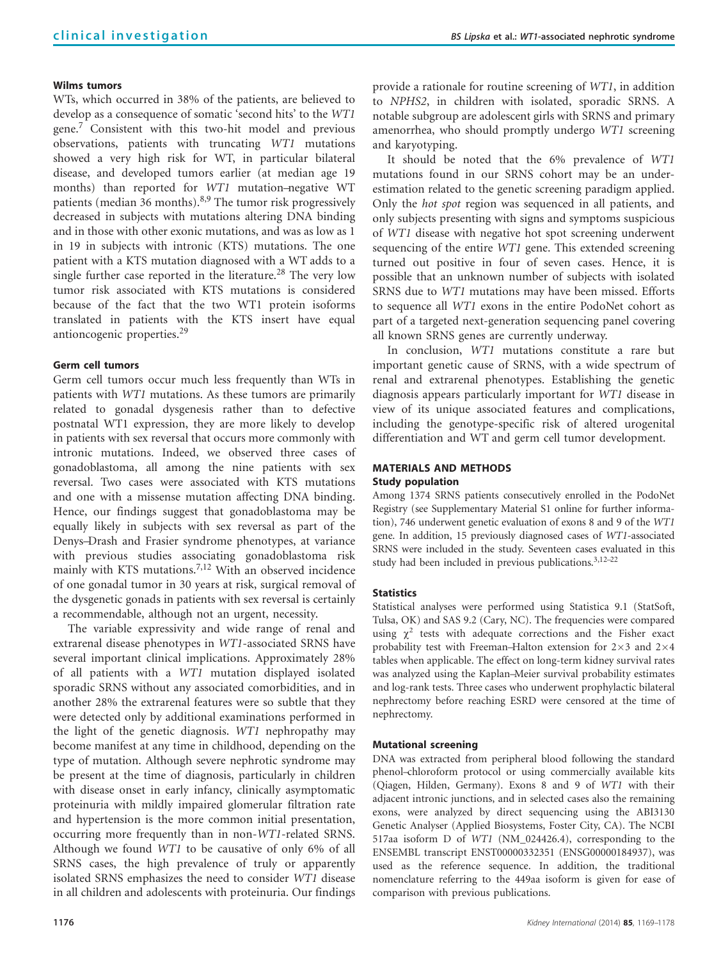# Wilms tumors

WTs, which occurred in 38% of the patients, are believed to develop as a consequence of somatic 'second hits' to the WT1 gene[.7](#page-8-0) Consistent with this two-hit model and previous observations, patients with truncating WT1 mutations showed a very high risk for WT, in particular bilateral disease, and developed tumors earlier (at median age 19 months) than reported for WT1 mutation–negative WT patients (median 36 months).<sup>[8,9](#page-8-0)</sup> The tumor risk progressively decreased in subjects with mutations altering DNA binding and in those with other exonic mutations, and was as low as 1 in 19 in subjects with intronic (KTS) mutations. The one patient with a KTS mutation diagnosed with a WT adds to a single further case reported in the literature.<sup>[28](#page-8-0)</sup> The very low tumor risk associated with KTS mutations is considered because of the fact that the two WT1 protein isoforms translated in patients with the KTS insert have equal antioncogenic properties.[29](#page-8-0)

# Germ cell tumors

Germ cell tumors occur much less frequently than WTs in patients with WT1 mutations. As these tumors are primarily related to gonadal dysgenesis rather than to defective postnatal WT1 expression, they are more likely to develop in patients with sex reversal that occurs more commonly with intronic mutations. Indeed, we observed three cases of gonadoblastoma, all among the nine patients with sex reversal. Two cases were associated with KTS mutations and one with a missense mutation affecting DNA binding. Hence, our findings suggest that gonadoblastoma may be equally likely in subjects with sex reversal as part of the Denys–Drash and Frasier syndrome phenotypes, at variance with previous studies associating gonadoblastoma risk mainly with KTS mutations.<sup>7,12</sup> With an observed incidence of one gonadal tumor in 30 years at risk, surgical removal of the dysgenetic gonads in patients with sex reversal is certainly a recommendable, although not an urgent, necessity.

The variable expressivity and wide range of renal and extrarenal disease phenotypes in WT1-associated SRNS have several important clinical implications. Approximately 28% of all patients with a WT1 mutation displayed isolated sporadic SRNS without any associated comorbidities, and in another 28% the extrarenal features were so subtle that they were detected only by additional examinations performed in the light of the genetic diagnosis. WT1 nephropathy may become manifest at any time in childhood, depending on the type of mutation. Although severe nephrotic syndrome may be present at the time of diagnosis, particularly in children with disease onset in early infancy, clinically asymptomatic proteinuria with mildly impaired glomerular filtration rate and hypertension is the more common initial presentation, occurring more frequently than in non-WT1-related SRNS. Although we found WT1 to be causative of only 6% of all SRNS cases, the high prevalence of truly or apparently isolated SRNS emphasizes the need to consider WT1 disease in all children and adolescents with proteinuria. Our findings provide a rationale for routine screening of WT1, in addition to NPHS2, in children with isolated, sporadic SRNS. A notable subgroup are adolescent girls with SRNS and primary amenorrhea, who should promptly undergo WT1 screening and karyotyping.

It should be noted that the 6% prevalence of WT1 mutations found in our SRNS cohort may be an underestimation related to the genetic screening paradigm applied. Only the hot spot region was sequenced in all patients, and only subjects presenting with signs and symptoms suspicious of WT1 disease with negative hot spot screening underwent sequencing of the entire WT1 gene. This extended screening turned out positive in four of seven cases. Hence, it is possible that an unknown number of subjects with isolated SRNS due to WT1 mutations may have been missed. Efforts to sequence all WT1 exons in the entire PodoNet cohort as part of a targeted next-generation sequencing panel covering all known SRNS genes are currently underway.

In conclusion, WT1 mutations constitute a rare but important genetic cause of SRNS, with a wide spectrum of renal and extrarenal phenotypes. Establishing the genetic diagnosis appears particularly important for WT1 disease in view of its unique associated features and complications, including the genotype-specific risk of altered urogenital differentiation and WT and germ cell tumor development.

# MATERIALS AND METHODS

# Study population

Among 1374 SRNS patients consecutively enrolled in the PodoNet Registry (see Supplementary Material S1 online for further information), 746 underwent genetic evaluation of exons 8 and 9 of the WT1 gene. In addition, 15 previously diagnosed cases of WT1-associated SRNS were included in the study. Seventeen cases evaluated in this study had been included in previous publications.<sup>3,12–22</sup>

# **Statistics**

Statistical analyses were performed using Statistica 9.1 (StatSoft, Tulsa, OK) and SAS 9.2 (Cary, NC). The frequencies were compared using  $\chi^2$  tests with adequate corrections and the Fisher exact probability test with Freeman–Halton extension for  $2\times 3$  and  $2\times 4$ tables when applicable. The effect on long-term kidney survival rates was analyzed using the Kaplan–Meier survival probability estimates and log-rank tests. Three cases who underwent prophylactic bilateral nephrectomy before reaching ESRD were censored at the time of nephrectomy.

# Mutational screening

DNA was extracted from peripheral blood following the standard phenol–chloroform protocol or using commercially available kits (Qiagen, Hilden, Germany). Exons 8 and 9 of WT1 with their adjacent intronic junctions, and in selected cases also the remaining exons, were analyzed by direct sequencing using the ABI3130 Genetic Analyser (Applied Biosystems, Foster City, CA). The NCBI 517aa isoform D of WT1 (NM\_024426.4), corresponding to the ENSEMBL transcript ENST00000332351 (ENSG00000184937), was used as the reference sequence. In addition, the traditional nomenclature referring to the 449aa isoform is given for ease of comparison with previous publications.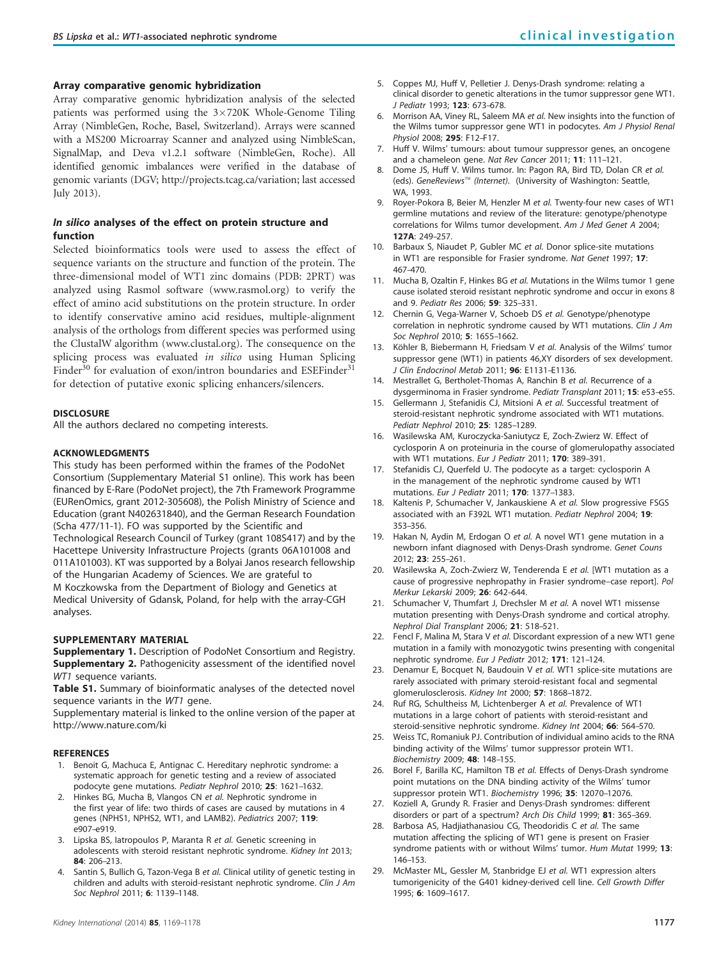#### <span id="page-8-0"></span>Array comparative genomic hybridization

Array comparative genomic hybridization analysis of the selected patients was performed using the 3×720K Whole-Genome Tiling Array (NimbleGen, Roche, Basel, Switzerland). Arrays were scanned with a MS200 Microarray Scanner and analyzed using NimbleScan, SignalMap, and Deva v1.2.1 software (NimbleGen, Roche). All identified genomic imbalances were verified in the database of genomic variants (DGV;<http://projects.tcag.ca/variation>; last accessed July 2013).

## In silico analyses of the effect on protein structure and function

Selected bioinformatics tools were used to assess the effect of sequence variants on the structure and function of the protein. The three-dimensional model of WT1 zinc domains (PDB: 2PRT) was analyzed using Rasmol software [\(www.rasmol.org\)](www.rasmol.org) to verify the effect of amino acid substitutions on the protein structure. In order to identify conservative amino acid residues, multiple-alignment analysis of the orthologs from different species was performed using the ClustalW algorithm [\(www.clustal.org](www.clustral.org)). The consequence on the splicing process was evaluated in silico using Human Splicing Finder<sup>[30](#page-9-0)</sup> for evaluation of exon/intron boundaries and ESEFinder<sup>[31](#page-9-0)</sup> for detection of putative exonic splicing enhancers/silencers.

#### **DISCLOSURE**

All the authors declared no competing interests.

#### ACKNOWLEDGMENTS

This study has been performed within the frames of the PodoNet Consortium (Supplementary Material S1 online). This work has been financed by E-Rare (PodoNet project), the 7th Framework Programme (EURenOmics, grant 2012-305608), the Polish Ministry of Science and Education (grant N402631840), and the German Research Foundation (Scha 477/11-1). FO was supported by the Scientific and Technological Research Council of Turkey (grant 108S417) and by the

Hacettepe University Infrastructure Projects (grants 06A101008 and 011A101003). KT was supported by a Bolyai Janos research fellowship of the Hungarian Academy of Sciences. We are grateful to

M Koczkowska from the Department of Biology and Genetics at Medical University of Gdansk, Poland, for help with the array-CGH analyses.

## SUPPLEMENTARY MATERIAL

Supplementary 1. Description of PodoNet Consortium and Registry. **Supplementary 2.** Pathogenicity assessment of the identified novel WT1 sequence variants.

Table S1. Summary of bioinformatic analyses of the detected novel sequence variants in the WT1 gene.

Supplementary material is linked to the online version of the paper at <http://www.nature.com/ki>

#### **REFERENCES**

- 1. Benoit G, Machuca E, Antignac C. Hereditary nephrotic syndrome: a systematic approach for genetic testing and a review of associated podocyte gene mutations. Pediatr Nephrol 2010; 25: 1621–1632.
- Hinkes BG, Mucha B, Vlangos CN et al. Nephrotic syndrome in the first year of life: two thirds of cases are caused by mutations in 4 genes (NPHS1, NPHS2, WT1, and LAMB2). Pediatrics 2007; 119: e907–e919.
- 3. Lipska BS, latropoulos P, Maranta R et al. Genetic screening in adolescents with steroid resistant nephrotic syndrome. Kidney Int 2013; 84: 206–213.
- 4. Santin S, Bullich G, Tazon-Vega B et al. Clinical utility of genetic testing in children and adults with steroid-resistant nephrotic syndrome. Clin J Am Soc Nephrol 2011; 6: 1139–1148.
- 5. Coppes MJ, Huff V, Pelletier J. Denys-Drash syndrome: relating a clinical disorder to genetic alterations in the tumor suppressor gene WT1. J Pediatr 1993; 123: 673–678.
- 6. Morrison AA, Viney RL, Saleem MA et al. New insights into the function of the Wilms tumor suppressor gene WT1 in podocytes. Am J Physiol Renal Physiol 2008; 295: F12–F17.
- 7. Huff V. Wilms' tumours: about tumour suppressor genes, an oncogene and a chameleon gene. Nat Rev Cancer 2011; 11: 111-121.
- 8. Dome JS, Huff V. Wilms tumor. In: Pagon RA, Bird TD, Dolan CR et al. (eds). GeneReviews™ (Internet). (University of Washington: Seattle, WA, 1993.
- 9. Royer-Pokora B, Beier M, Henzler M et al. Twenty-four new cases of WT1 germline mutations and review of the literature: genotype/phenotype correlations for Wilms tumor development. Am J Med Genet A 2004; 127A: 249–257.
- 10. Barbaux S, Niaudet P, Gubler MC et al. Donor splice-site mutations in WT1 are responsible for Frasier syndrome. Nat Genet 1997; 17: 467–470.
- 11. Mucha B, Ozaltin F, Hinkes BG et al. Mutations in the Wilms tumor 1 gene cause isolated steroid resistant nephrotic syndrome and occur in exons 8 and 9. Pediatr Res 2006; 59: 325-331.
- 12. Chernin G, Vega-Warner V, Schoeb DS et al. Genotype/phenotype correlation in nephrotic syndrome caused by WT1 mutations. Clin J Am Soc Nephrol 2010; 5: 1655-1662.
- 13. Köhler B, Biebermann H, Friedsam V et al. Analysis of the Wilms' tumor suppressor gene (WT1) in patients 46,XY disorders of sex development. J Clin Endocrinol Metab 2011; 96: E1131–E1136.
- 14. Mestrallet G, Bertholet-Thomas A, Ranchin B et al. Recurrence of a dysgerminoma in Frasier syndrome. Pediatr Transplant 2011; 15: e53-e55.
- 15. Gellermann J, Stefanidis CJ, Mitsioni A et al. Successful treatment of steroid-resistant nephrotic syndrome associated with WT1 mutations. Pediatr Nephrol 2010; 25: 1285-1289.
- 16. Wasilewska AM, Kuroczycka-Saniutycz E, Zoch-Zwierz W. Effect of cyclosporin A on proteinuria in the course of glomerulopathy associated with WT1 mutations. Eur J Pediatr 2011; 170: 389-391.
- 17. Stefanidis CJ, Querfeld U. The podocyte as a target: cyclosporin A in the management of the nephrotic syndrome caused by WT1 mutations. Eur J Pediatr 2011; 170: 1377–1383.
- 18. Kaltenis P, Schumacher V, Jankauskiene A et al. Slow progressive FSGS associated with an F392L WT1 mutation. Pediatr Nephrol 2004; 19: 353–356.
- 19. Hakan N, Aydin M, Erdogan O et al. A novel WT1 gene mutation in a newborn infant diagnosed with Denys-Drash syndrome. Genet Couns 2012; 23: 255–261.
- 20. Wasilewska A, Zoch-Zwierz W, Tenderenda E et al. [WT1 mutation as a cause of progressive nephropathy in Frasier syndrome–case report]. Pol Merkur Lekarski 2009; 26: 642–644.
- 21. Schumacher V, Thumfart J, Drechsler M et al. A novel WT1 missense mutation presenting with Denys-Drash syndrome and cortical atrophy. Nephrol Dial Transplant 2006; 21: 518–521.
- 22. Fencl F, Malina M, Stara V et al. Discordant expression of a new WT1 gene mutation in a family with monozygotic twins presenting with congenital nephrotic syndrome. Eur J Pediatr 2012; 171: 121–124.
- 23. Denamur E, Bocquet N, Baudouin V et al. WT1 splice-site mutations are rarely associated with primary steroid-resistant focal and segmental glomerulosclerosis. Kidney Int 2000; 57: 1868-1872.
- 24. Ruf RG, Schultheiss M, Lichtenberger A et al. Prevalence of WT1 mutations in a large cohort of patients with steroid-resistant and steroid-sensitive nephrotic syndrome. Kidney Int 2004; 66: 564-570.
- 25. Weiss TC, Romaniuk PJ. Contribution of individual amino acids to the RNA binding activity of the Wilms' tumor suppressor protein WT1. Biochemistry 2009; 48: 148–155.
- 26. Borel F, Barilla KC, Hamilton TB et al. Effects of Denys-Drash syndrome point mutations on the DNA binding activity of the Wilms' tumor suppressor protein WT1. Biochemistry 1996; 35: 12070-12076.
- 27. Koziell A, Grundy R. Frasier and Denys-Drash syndromes: different disorders or part of a spectrum? Arch Dis Child 1999; 81: 365–369.
- 28. Barbosa AS, Hadjiathanasiou CG, Theodoridis C et al. The same mutation affecting the splicing of WT1 gene is present on Frasier syndrome patients with or without Wilms' tumor. Hum Mutat 1999; 13: 146–153.
- 29. McMaster ML, Gessler M, Stanbridge EJ et al. WT1 expression alters tumorigenicity of the G401 kidney-derived cell line. Cell Growth Differ 1995; 6: 1609–1617.